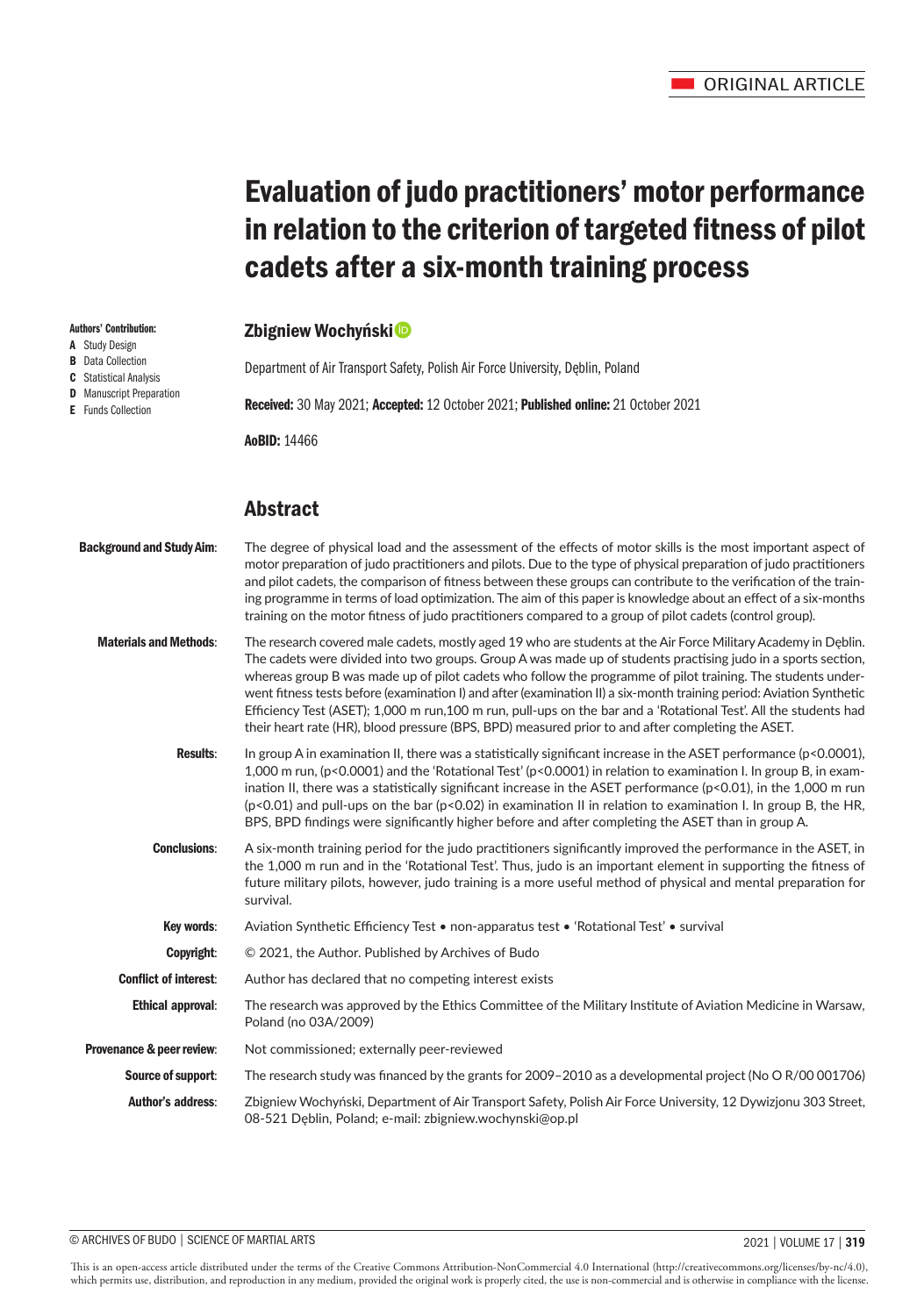# Evaluation of judo practitioners' motor performance in relation to the criterion of targeted fitness of pilot cadets after a six-month training process

# Zbigniew Wochyński<sup>®</sup>

Department of Air Transport Safety, Polish Air Force University, Dęblin, Poland Received: 30 May 2021; Accepted: 12 October 2021; Published online: 21 October 2021 AoBID: 14466

# Abstract

Authors' Contribution: A Study Design **B** Data Collection C Statistical Analysis **D** Manuscript Preparation E Funds Collection

| <b>Background and Study Aim:</b> | The degree of physical load and the assessment of the effects of motor skills is the most important aspect of<br>motor preparation of judo practitioners and pilots. Due to the type of physical preparation of judo practitioners<br>and pilot cadets, the comparison of fitness between these groups can contribute to the verification of the train-<br>ing programme in terms of load optimization. The aim of this paper is knowledge about an effect of a six-months<br>training on the motor fitness of judo practitioners compared to a group of pilot cadets (control group).                                                                                                          |
|----------------------------------|-------------------------------------------------------------------------------------------------------------------------------------------------------------------------------------------------------------------------------------------------------------------------------------------------------------------------------------------------------------------------------------------------------------------------------------------------------------------------------------------------------------------------------------------------------------------------------------------------------------------------------------------------------------------------------------------------|
| <b>Materials and Methods:</b>    | The research covered male cadets, mostly aged 19 who are students at the Air Force Military Academy in Deblin.<br>The cadets were divided into two groups. Group A was made up of students practising judo in a sports section,<br>whereas group B was made up of pilot cadets who follow the programme of pilot training. The students under-<br>went fitness tests before (examination I) and after (examination II) a six-month training period: Aviation Synthetic<br>Efficiency Test (ASET); 1,000 m run,100 m run, pull-ups on the bar and a 'Rotational Test'. All the students had<br>their heart rate (HR), blood pressure (BPS, BPD) measured prior to and after completing the ASET. |
| <b>Results:</b>                  | In group A in examination II, there was a statistically significant increase in the ASET performance ( $p$ <0.0001),<br>1,000 m run, (p<0.0001) and the 'Rotational Test' (p<0.0001) in relation to examination I. In group B, in exam-<br>ination II, there was a statistically significant increase in the ASET performance $(p<0.01)$ , in the 1,000 m run<br>$(p<0.01)$ and pull-ups on the bar $(p<0.02)$ in examination II in relation to examination I. In group B, the HR,<br>BPS, BPD findings were significantly higher before and after completing the ASET than in group A.                                                                                                         |
| <b>Conclusions:</b>              | A six-month training period for the judo practitioners significantly improved the performance in the ASET, in<br>the 1,000 m run and in the 'Rotational Test'. Thus, judo is an important element in supporting the fitness of<br>future military pilots, however, judo training is a more useful method of physical and mental preparation for<br>survival.                                                                                                                                                                                                                                                                                                                                    |
| Key words:                       | Aviation Synthetic Efficiency Test • non-apparatus test • 'Rotational Test' • survival                                                                                                                                                                                                                                                                                                                                                                                                                                                                                                                                                                                                          |
| Copyright:                       | © 2021, the Author. Published by Archives of Budo                                                                                                                                                                                                                                                                                                                                                                                                                                                                                                                                                                                                                                               |
| <b>Conflict of interest:</b>     | Author has declared that no competing interest exists                                                                                                                                                                                                                                                                                                                                                                                                                                                                                                                                                                                                                                           |
| <b>Ethical approval:</b>         | The research was approved by the Ethics Committee of the Military Institute of Aviation Medicine in Warsaw,<br>Poland (no 03A/2009)                                                                                                                                                                                                                                                                                                                                                                                                                                                                                                                                                             |
| Provenance & peer review:        | Not commissioned; externally peer-reviewed                                                                                                                                                                                                                                                                                                                                                                                                                                                                                                                                                                                                                                                      |
| Source of support:               | The research study was financed by the grants for 2009–2010 as a developmental project (No O R/00 001706)                                                                                                                                                                                                                                                                                                                                                                                                                                                                                                                                                                                       |
| <b>Author's address:</b>         | Zbigniew Wochyński, Department of Air Transport Safety, Polish Air Force University, 12 Dywizjonu 303 Street,<br>08-521 Deblin, Poland; e-mail: zbigniew.wochynski@op.pl                                                                                                                                                                                                                                                                                                                                                                                                                                                                                                                        |

This is an open-access article distributed under the terms of the Creative Commons Attribution-NonCommercial 4.0 International (http://creativecommons.org/licenses/by-nc/4.0), which permits use, distribution, and reproduction in any medium, provided the original work is properly cited, the use is non-commercial and is otherwise in compliance with the license.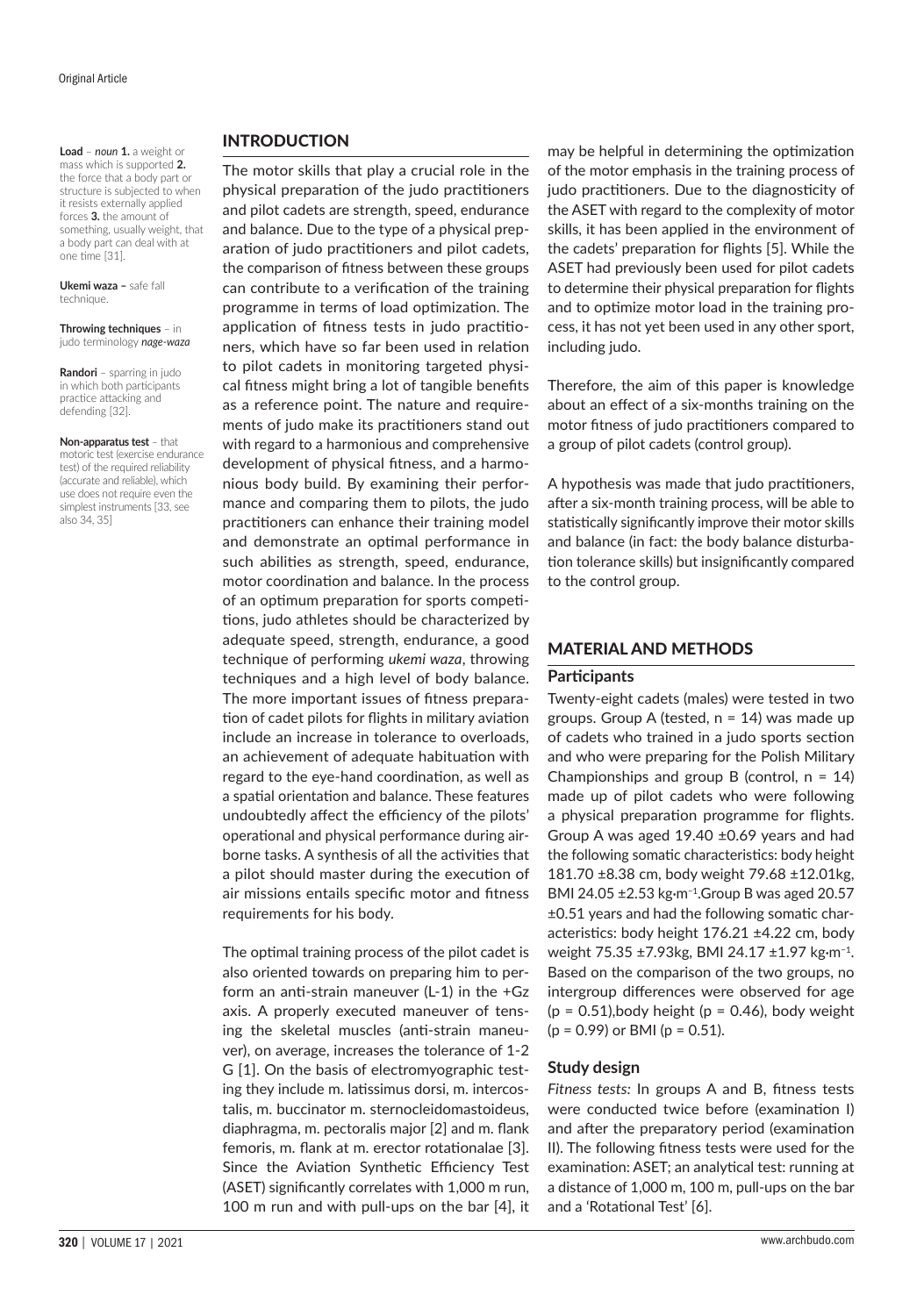**Load** – *noun* **1.** a weight or mass which is supported **2.** the force that a body part or structure is subjected to when it resists externally applied forces **3.** the amount of something, usually weight, that a body part can deal with at one time [31].

**Ukemi waza –** safe fall technique.

**Throwing techniques** – in judo terminology *nage-waza* 

**Randori** – sparring in judo in which both participants practice attacking and defending [32].

**Non-apparatus test** – that motoric test (exercise endurance test) of the required reliability (accurate and reliable), which use does not require even the simplest instruments [33, see also 34, 35]

## INTRODUCTION

The motor skills that play a crucial role in the physical preparation of the judo practitioners and pilot cadets are strength, speed, endurance and balance. Due to the type of a physical preparation of judo practitioners and pilot cadets, the comparison of fitness between these groups can contribute to a verification of the training programme in terms of load optimization. The application of fitness tests in judo practitioners, which have so far been used in relation to pilot cadets in monitoring targeted physical fitness might bring a lot of tangible benefits as a reference point. The nature and requirements of judo make its practitioners stand out with regard to a harmonious and comprehensive development of physical fitness, and a harmonious body build. By examining their performance and comparing them to pilots, the judo practitioners can enhance their training model and demonstrate an optimal performance in such abilities as strength, speed, endurance, motor coordination and balance. In the process of an optimum preparation for sports competitions, judo athletes should be characterized by adequate speed, strength, endurance, a good technique of performing *ukemi waza*, throwing techniques and a high level of body balance. The more important issues of fitness preparation of cadet pilots for flights in military aviation include an increase in tolerance to overloads, an achievement of adequate habituation with regard to the eye-hand coordination, as well as a spatial orientation and balance. These features undoubtedly affect the efficiency of the pilots' operational and physical performance during airborne tasks. A synthesis of all the activities that a pilot should master during the execution of air missions entails specific motor and fitness requirements for his body.

The optimal training process of the pilot cadet is also oriented towards on preparing him to perform an anti-strain maneuver (L-1) in the +Gz axis. A properly executed maneuver of tensing the skeletal muscles (anti-strain maneuver), on average, increases the tolerance of 1-2 G [1]. On the basis of electromyographic testing they include m. latissimus dorsi, m. intercostalis, m. buccinator m. sternocleidomastoideus, diaphragma, m. pectoralis major [2] and m. flank femoris, m. flank at m. erector rotationalae [3]. Since the Aviation Synthetic Efficiency Test (ASET) significantly correlates with 1,000 m run, 100 m run and with pull-ups on the bar [4], it

may be helpful in determining the optimization of the motor emphasis in the training process of judo practitioners. Due to the diagnosticity of the ASET with regard to the complexity of motor skills, it has been applied in the environment of the cadets' preparation for flights [5]. While the ASET had previously been used for pilot cadets to determine their physical preparation for flights and to optimize motor load in the training process, it has not yet been used in any other sport, including judo.

Therefore, the aim of this paper is knowledge about an effect of a six-months training on the motor fitness of judo practitioners compared to a group of pilot cadets (control group).

A hypothesis was made that judo practitioners, after a six-month training process, will be able to statistically significantly improve their motor skills and balance (in fact: the body balance disturbation tolerance skills) but insignificantly compared to the control group.

#### MATERIAL AND METHODS

#### **Participants**

Twenty-eight cadets (males) were tested in two groups. Group A (tested,  $n = 14$ ) was made up of cadets who trained in a judo sports section and who were preparing for the Polish Military Championships and group B (control,  $n = 14$ ) made up of pilot cadets who were following a physical preparation programme for flights. Group A was aged 19.40 ±0.69 years and had the following somatic characteristics: body height 181.70 ±8.38 cm, body weight 79.68 ±12.01kg, BMI 24.05 ±2.53 kg**∙**m−1.Group B was aged 20.57 ±0.51 years and had the following somatic characteristics: body height 176.21 ±4.22 cm, body weight 75.35 ±7.93kg, BMI 24.17 ±1.97 kg**∙**m−1. Based on the comparison of the two groups, no intergroup differences were observed for age  $(p = 0.51)$ , body height  $(p = 0.46)$ , body weight  $(p = 0.99)$  or BMI  $(p = 0.51)$ .

#### **Study design**

*Fitness tests:* In groups A and B, fitness tests were conducted twice before (examination I) and after the preparatory period (examination II). The following fitness tests were used for the examination: ASET; an analytical test: running at a distance of 1,000 m, 100 m, pull-ups on the bar and a 'Rotational Test' [6].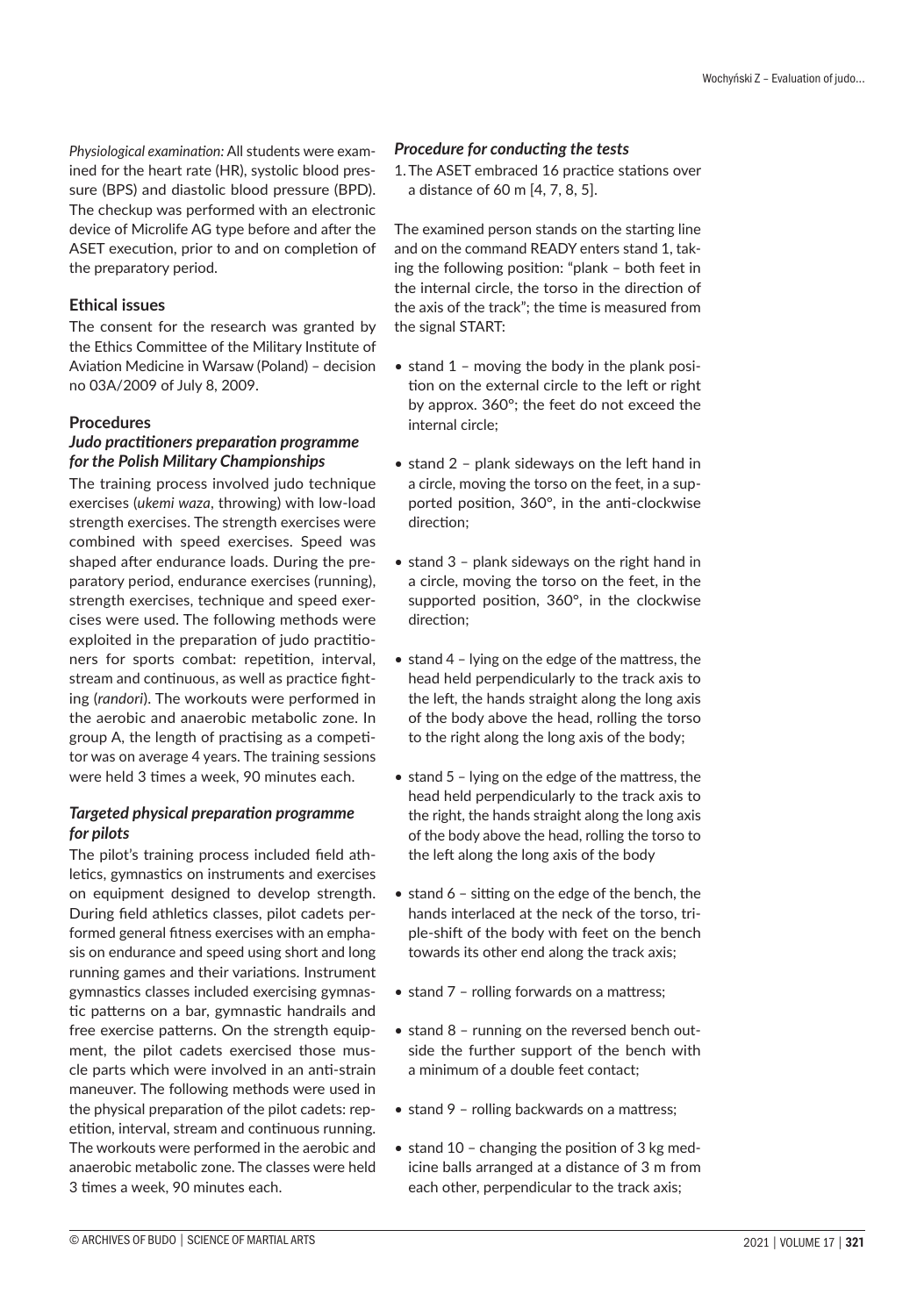*Physiological examination:* All students were examined for the heart rate (HR), systolic blood pressure (BPS) and diastolic blood pressure (BPD). The checkup was performed with an electronic device of Microlife AG type before and after the ASET execution, prior to and on completion of the preparatory period.

#### **Ethical issues**

The consent for the research was granted by the Ethics Committee of the Military Institute of Aviation Medicine in Warsaw (Poland) – decision no 03A/2009 of July 8, 2009.

#### **Procedures**

#### *Judo practitioners preparation programme for the Polish Military Championships*

The training process involved judo technique exercises (*ukemi waza*, throwing) with low-load strength exercises. The strength exercises were combined with speed exercises. Speed was shaped after endurance loads. During the preparatory period, endurance exercises (running), strength exercises, technique and speed exercises were used. The following methods were exploited in the preparation of judo practitioners for sports combat: repetition, interval, stream and continuous, as well as practice fighting (*randori*). The workouts were performed in the aerobic and anaerobic metabolic zone. In group A, the length of practising as a competitor was on average 4 years. The training sessions were held 3 times a week, 90 minutes each.

#### *Targeted physical preparation programme for pilots*

The pilot's training process included field athletics, gymnastics on instruments and exercises on equipment designed to develop strength. During field athletics classes, pilot cadets performed general fitness exercises with an emphasis on endurance and speed using short and long running games and their variations. Instrument gymnastics classes included exercising gymnastic patterns on a bar, gymnastic handrails and free exercise patterns. On the strength equipment, the pilot cadets exercised those muscle parts which were involved in an anti-strain maneuver. The following methods were used in the physical preparation of the pilot cadets: repetition, interval, stream and continuous running. The workouts were performed in the aerobic and anaerobic metabolic zone. The classes were held 3 times a week, 90 minutes each.

#### *Procedure for conducting the tests*

1.The ASET embraced 16 practice stations over a distance of 60 m [4, 7, 8, 5].

The examined person stands on the starting line and on the command READY enters stand 1, taking the following position: "plank – both feet in the internal circle, the torso in the direction of the axis of the track"; the time is measured from the signal START:

- stand 1 moving the body in the plank position on the external circle to the left or right by approx. 360°; the feet do not exceed the internal circle;
- stand 2 plank sideways on the left hand in a circle, moving the torso on the feet, in a supported position, 360°, in the anti-clockwise direction;
- stand 3 plank sideways on the right hand in a circle, moving the torso on the feet, in the supported position, 360°, in the clockwise direction;
- stand 4 lying on the edge of the mattress, the head held perpendicularly to the track axis to the left, the hands straight along the long axis of the body above the head, rolling the torso to the right along the long axis of the body;
- stand 5 lying on the edge of the mattress, the head held perpendicularly to the track axis to the right, the hands straight along the long axis of the body above the head, rolling the torso to the left along the long axis of the body
- stand 6 sitting on the edge of the bench, the hands interlaced at the neck of the torso, triple-shift of the body with feet on the bench towards its other end along the track axis;
- stand 7 rolling forwards on a mattress;
- stand 8 running on the reversed bench outside the further support of the bench with a minimum of a double feet contact;
- stand 9 rolling backwards on a mattress;
- stand 10 changing the position of 3 kg medicine balls arranged at a distance of 3 m from each other, perpendicular to the track axis;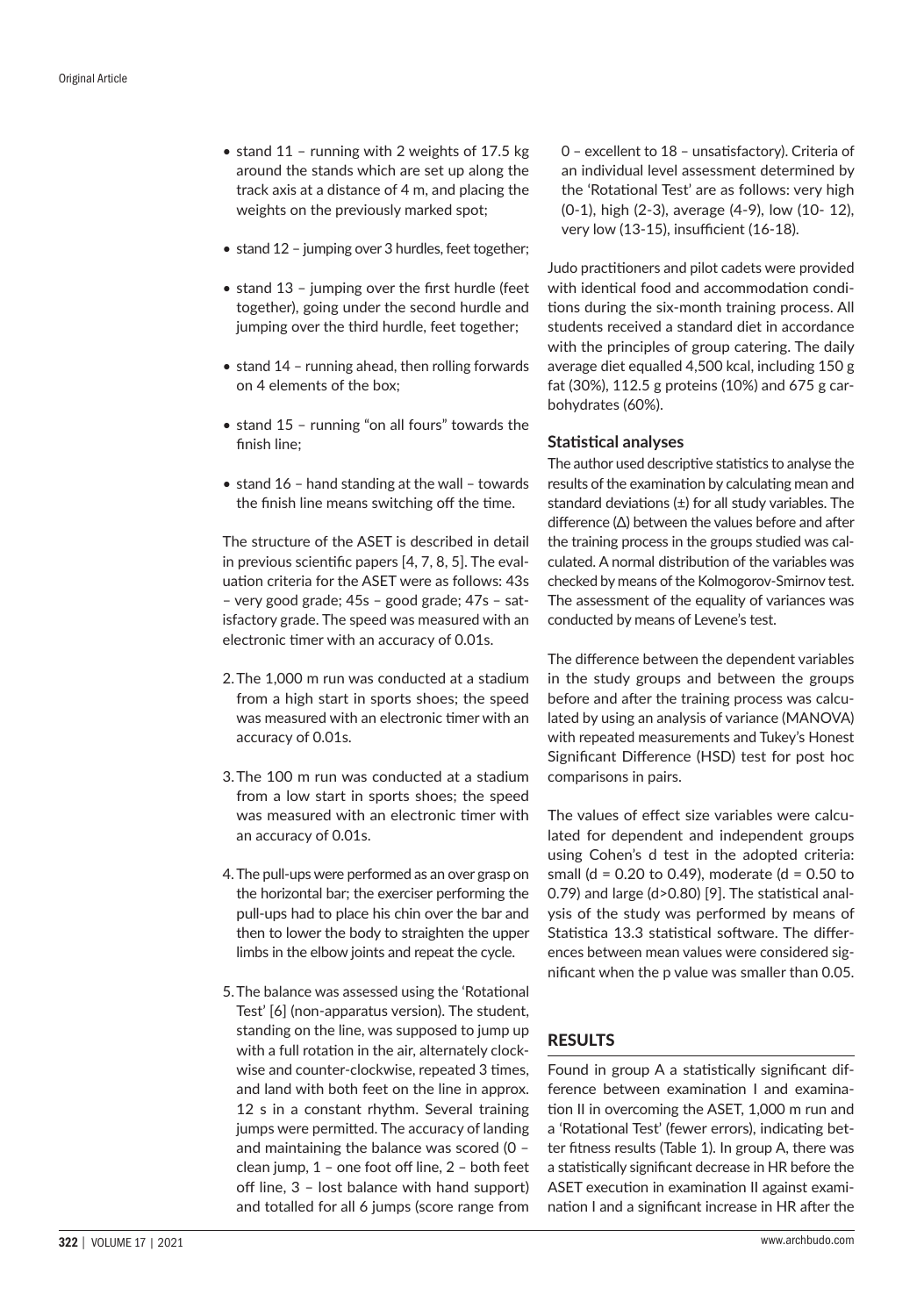- stand 11 running with 2 weights of 17.5 kg around the stands which are set up along the track axis at a distance of 4 m, and placing the weights on the previously marked spot;
- stand 12 jumping over 3 hurdles, feet together;
- stand 13 jumping over the first hurdle (feet together), going under the second hurdle and jumping over the third hurdle, feet together;
- stand 14 running ahead, then rolling forwards on 4 elements of the box;
- stand 15 running "on all fours" towards the finish line;
- stand 16 hand standing at the wall towards the finish line means switching off the time.

The structure of the ASET is described in detail in previous scientific papers [4, 7, 8, 5]. The evaluation criteria for the ASET were as follows: 43s – very good grade; 45s – good grade; 47s – satisfactory grade. The speed was measured with an electronic timer with an accuracy of 0.01s.

- 2.The 1,000 m run was conducted at a stadium from a high start in sports shoes; the speed was measured with an electronic timer with an accuracy of 0.01s.
- 3.The 100 m run was conducted at a stadium from a low start in sports shoes; the speed was measured with an electronic timer with an accuracy of 0.01s.
- 4. The pull-ups were performed as an over grasp on the horizontal bar; the exerciser performing the pull-ups had to place his chin over the bar and then to lower the body to straighten the upper limbs in the elbow joints and repeat the cycle.
- 5.The balance was assessed using the 'Rotational Test' [6] (non-apparatus version). The student, standing on the line, was supposed to jump up with a full rotation in the air, alternately clockwise and counter-clockwise, repeated 3 times, and land with both feet on the line in approx. 12 s in a constant rhythm. Several training jumps were permitted. The accuracy of landing and maintaining the balance was scored (0 – clean jump, 1 – one foot off line, 2 – both feet off line, 3 – lost balance with hand support) and totalled for all 6 jumps (score range from

0 – excellent to 18 – unsatisfactory). Criteria of an individual level assessment determined by the 'Rotational Test' are as follows: very high (0-1), high (2-3), average (4-9), low (10- 12), very low (13-15), insufficient (16-18).

Judo practitioners and pilot cadets were provided with identical food and accommodation conditions during the six-month training process. All students received a standard diet in accordance with the principles of group catering. The daily average diet equalled 4,500 kcal, including 150 g fat (30%), 112.5 g proteins (10%) and 675 g carbohydrates (60%).

# **Statistical analyses**

The author used descriptive statistics to analyse the results of the examination by calculating mean and standard deviations  $(\pm)$  for all study variables. The difference (Δ) between the values before and after the training process in the groups studied was calculated. A normal distribution of the variables was checked by means of the Kolmogorov-Smirnov test. The assessment of the equality of variances was conducted by means of Levene's test.

The difference between the dependent variables in the study groups and between the groups before and after the training process was calculated by using an analysis of variance (MANOVA) with repeated measurements and Tukey's Honest Significant Difference (HSD) test for post hoc comparisons in pairs.

The values of effect size variables were calculated for dependent and independent groups using Cohen's d test in the adopted criteria: small (d = 0.20 to 0.49), moderate (d = 0.50 to 0.79) and large (d>0.80) [9]. The statistical analysis of the study was performed by means of Statistica 13.3 statistical software. The differences between mean values were considered significant when the p value was smaller than 0.05.

# RESULTS

Found in group A a statistically significant difference between examination I and examination II in overcoming the ASET, 1,000 m run and a 'Rotational Test' (fewer errors), indicating better fitness results (Table 1). In group A, there was a statistically significant decrease in HR before the ASET execution in examination II against examination I and a significant increase in HR after the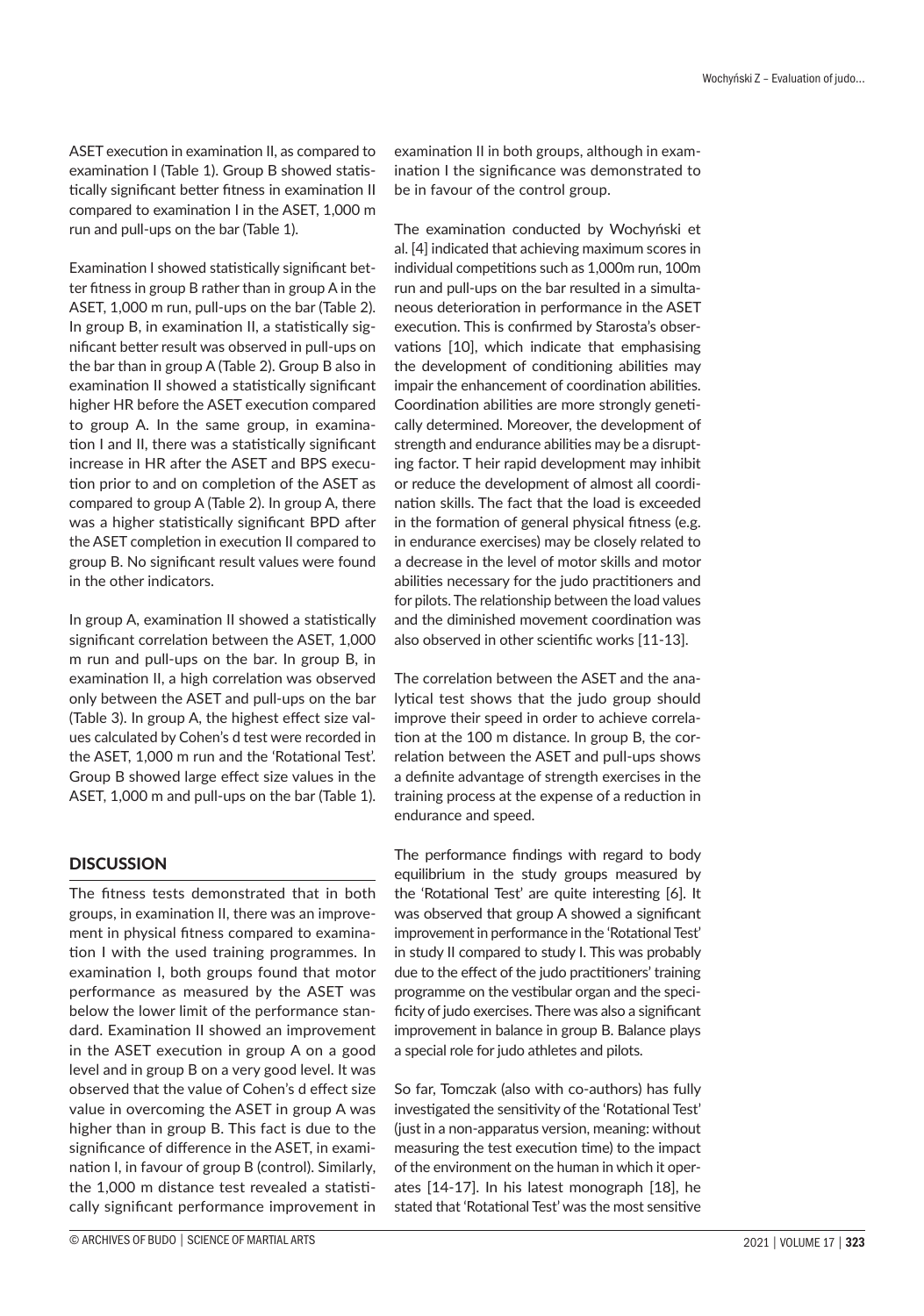ASET execution in examination II, as compared to examination I (Table 1). Group B showed statistically significant better fitness in examination II compared to examination I in the ASET, 1,000 m run and pull-ups on the bar (Table 1).

Examination I showed statistically significant better fitness in group B rather than in group A in the ASET, 1,000 m run, pull-ups on the bar (Table 2). In group B, in examination II, a statistically significant better result was observed in pull-ups on the bar than in group A (Table 2). Group B also in examination II showed a statistically significant higher HR before the ASET execution compared to group A. In the same group, in examination I and II, there was a statistically significant increase in HR after the ASET and BPS execution prior to and on completion of the ASET as compared to group A (Table 2). In group A, there was a higher statistically significant BPD after the ASET completion in execution II compared to group B. No significant result values were found in the other indicators.

In group A, examination II showed a statistically significant correlation between the ASET, 1,000 m run and pull-ups on the bar. In group B, in examination II, a high correlation was observed only between the ASET and pull-ups on the bar (Table 3). In group A, the highest effect size values calculated by Cohen's d test were recorded in the ASET, 1,000 m run and the 'Rotational Test'. Group B showed large effect size values in the ASET, 1,000 m and pull-ups on the bar (Table 1).

# **DISCUSSION**

The fitness tests demonstrated that in both groups, in examination II, there was an improvement in physical fitness compared to examination I with the used training programmes. In examination I, both groups found that motor performance as measured by the ASET was below the lower limit of the performance standard. Examination II showed an improvement in the ASET execution in group A on a good level and in group B on a very good level. It was observed that the value of Cohen's d effect size value in overcoming the ASET in group A was higher than in group B. This fact is due to the significance of difference in the ASET, in examination I, in favour of group B (control). Similarly, the 1,000 m distance test revealed a statistically significant performance improvement in

examination II in both groups, although in examination I the significance was demonstrated to be in favour of the control group.

The examination conducted by Wochyński et al. [4] indicated that achieving maximum scores in individual competitions such as 1,000m run, 100m run and pull-ups on the bar resulted in a simultaneous deterioration in performance in the ASET execution. This is confirmed by Starosta's observations [10], which indicate that emphasising the development of conditioning abilities may impair the enhancement of coordination abilities. Coordination abilities are more strongly genetically determined. Moreover, the development of strength and endurance abilities may be a disrupting factor. T heir rapid development may inhibit or reduce the development of almost all coordination skills. The fact that the load is exceeded in the formation of general physical fitness (e.g. in endurance exercises) may be closely related to a decrease in the level of motor skills and motor abilities necessary for the judo practitioners and for pilots. The relationship between the load values and the diminished movement coordination was also observed in other scientific works [11-13].

The correlation between the ASET and the analytical test shows that the judo group should improve their speed in order to achieve correlation at the 100 m distance. In group B, the correlation between the ASET and pull-ups shows a definite advantage of strength exercises in the training process at the expense of a reduction in endurance and speed.

The performance findings with regard to body equilibrium in the study groups measured by the 'Rotational Test' are quite interesting [6]. It was observed that group A showed a significant improvement in performance in the 'Rotational Test' in study II compared to study I. This was probably due to the effect of the judo practitioners' training programme on the vestibular organ and the specificity of judo exercises. There was also a significant improvement in balance in group B. Balance plays a special role for judo athletes and pilots.

So far, Tomczak (also with co-authors) has fully investigated the sensitivity of the 'Rotational Test' (just in a non-apparatus version, meaning: without measuring the test execution time) to the impact of the environment on the human in which it operates [14-17]. In his latest monograph [18], he stated that 'Rotational Test' was the most sensitive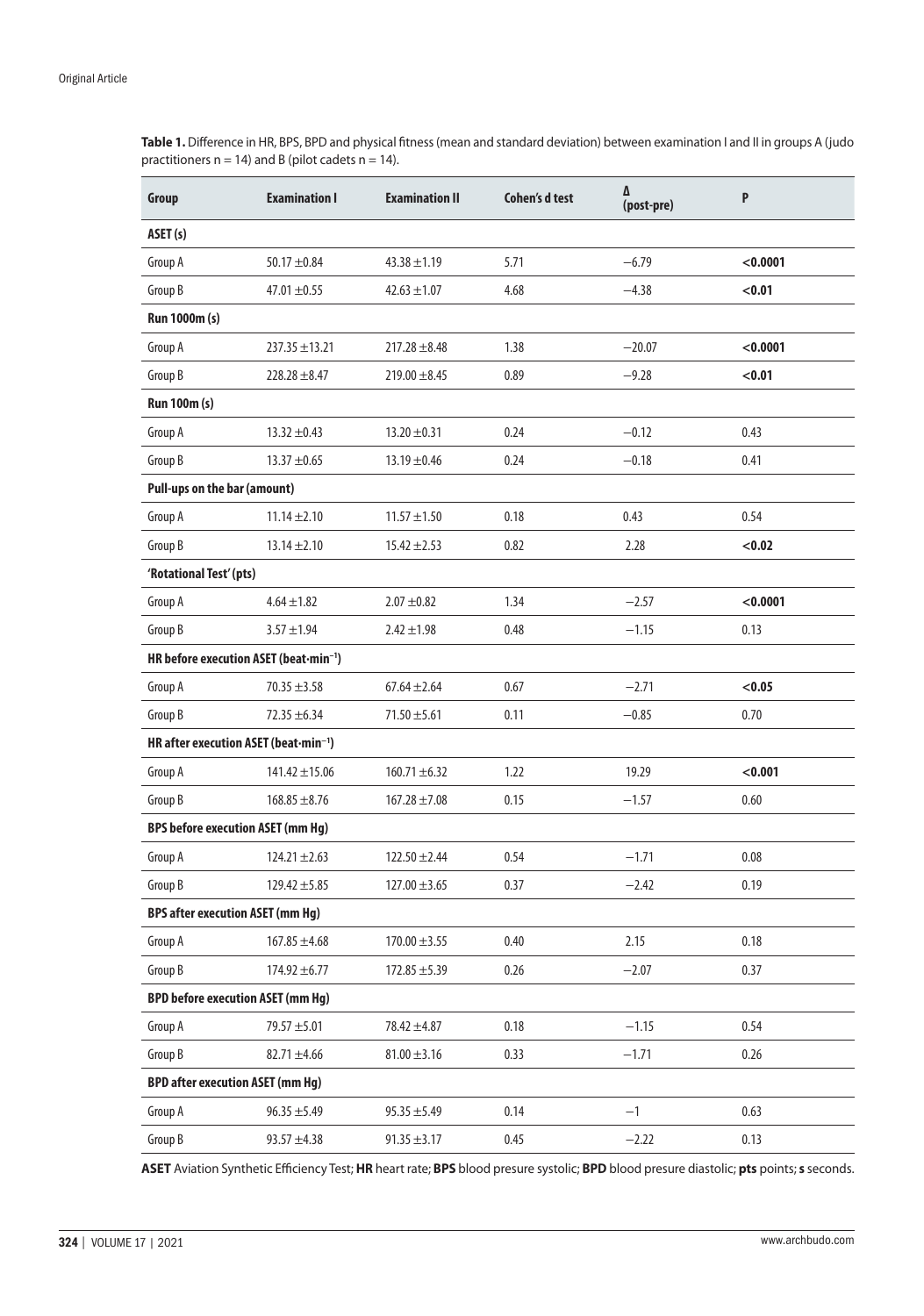**Table 1.** Difference in HR, BPS, BPD and physical fitness (mean and standard deviation) between examination I and II in groups A (judo practitioners  $n = 14$ ) and B (pilot cadets  $n = 14$ ).

| Group                                    | <b>Examination I</b>                                                                                                                                                                                                                                                                                                                                                                                                                                                                                                                                                                                                                                                                                                                                                                                                                                                                                                                                                                                                                                                        | <b>Examination II</b> | <b>Cohen's d test</b> | Δ<br>(post-pre) | P        |
|------------------------------------------|-----------------------------------------------------------------------------------------------------------------------------------------------------------------------------------------------------------------------------------------------------------------------------------------------------------------------------------------------------------------------------------------------------------------------------------------------------------------------------------------------------------------------------------------------------------------------------------------------------------------------------------------------------------------------------------------------------------------------------------------------------------------------------------------------------------------------------------------------------------------------------------------------------------------------------------------------------------------------------------------------------------------------------------------------------------------------------|-----------------------|-----------------------|-----------------|----------|
| ASET (s)                                 |                                                                                                                                                                                                                                                                                                                                                                                                                                                                                                                                                                                                                                                                                                                                                                                                                                                                                                                                                                                                                                                                             |                       |                       |                 |          |
| Group A                                  | $50.17 \pm 0.84$                                                                                                                                                                                                                                                                                                                                                                                                                                                                                                                                                                                                                                                                                                                                                                                                                                                                                                                                                                                                                                                            | $43.38 \pm 1.19$      | 5.71                  | $-6.79$         | < 0.0001 |
| Group B                                  | $47.01 \pm 0.55$                                                                                                                                                                                                                                                                                                                                                                                                                                                                                                                                                                                                                                                                                                                                                                                                                                                                                                                                                                                                                                                            | $42.63 \pm 1.07$      | 4.68                  | $-4.38$         | < 0.01   |
| Run 1000m (s)                            |                                                                                                                                                                                                                                                                                                                                                                                                                                                                                                                                                                                                                                                                                                                                                                                                                                                                                                                                                                                                                                                                             |                       |                       |                 |          |
| Group A                                  | $237.35 \pm 13.21$                                                                                                                                                                                                                                                                                                                                                                                                                                                                                                                                                                                                                                                                                                                                                                                                                                                                                                                                                                                                                                                          | $217.28 \pm 8.48$     | 1.38                  | $-20.07$        | < 0.0001 |
| Group B                                  | $228.28 \pm 8.47$                                                                                                                                                                                                                                                                                                                                                                                                                                                                                                                                                                                                                                                                                                                                                                                                                                                                                                                                                                                                                                                           | $219.00 \pm 8.45$     | 0.89                  | $-9.28$         | < 0.01   |
| <b>Run 100m (s)</b>                      |                                                                                                                                                                                                                                                                                                                                                                                                                                                                                                                                                                                                                                                                                                                                                                                                                                                                                                                                                                                                                                                                             |                       |                       |                 |          |
| Group A                                  | $13.32 \pm 0.43$                                                                                                                                                                                                                                                                                                                                                                                                                                                                                                                                                                                                                                                                                                                                                                                                                                                                                                                                                                                                                                                            | $13.20 \pm 0.31$      | 0.24                  | $-0.12$         | 0.43     |
| Group B                                  | $13.37 \pm 0.65$                                                                                                                                                                                                                                                                                                                                                                                                                                                                                                                                                                                                                                                                                                                                                                                                                                                                                                                                                                                                                                                            | $13.19 \pm 0.46$      | 0.24                  | $-0.18$         | 0.41     |
|                                          | Pull-ups on the bar (amount)<br>$11.14 \pm 2.10$<br>$11.57 \pm 1.50$<br>0.18<br>0.43<br>0.54<br>$13.14 \pm 2.10$<br>$15.42 \pm 2.53$<br>0.82<br>2.28<br>< 0.02<br>$4.64 \pm 1.82$<br>$2.07 \pm 0.82$<br>1.34<br>$-2.57$<br>< 0.0001<br>$3.57 \pm 1.94$<br>$2.42 \pm 1.98$<br>0.48<br>$-1.15$<br>0.13<br>HR before execution ASET (beat-min <sup>-1</sup> )<br>0.67<br>$-2.71$<br>< 0.05<br>$70.35 \pm 3.58$<br>$67.64 \pm 2.64$<br>$72.35 \pm 6.34$<br>$-0.85$<br>0.70<br>$71.50 \pm 5.61$<br>0.11<br>HR after execution ASET (beat-min <sup>-1</sup> )<br>$141.42 \pm 15.06$<br>$160.71 \pm 6.32$<br>1.22<br>19.29<br>< 0.001<br>$168.85 \pm 8.76$<br>$167.28 \pm 7.08$<br>0.15<br>$-1.57$<br>0.60<br><b>BPS before execution ASET (mm Hg)</b><br>$124.21 \pm 2.63$<br>$122.50 \pm 2.44$<br>0.54<br>$-1.71$<br>0.08<br>$129.42 \pm 5.85$<br>$127.00 \pm 3.65$<br>0.37<br>$-2.42$<br>0.19<br><b>BPS after execution ASET (mm Hg)</b><br>$167.85 \pm 4.68$<br>$170.00 \pm 3.55$<br>0.40<br>2.15<br>0.18<br>$174.92 \pm 6.77$<br>$172.85 \pm 5.39$<br>0.26<br>$-2.07$<br>0.37 |                       |                       |                 |          |
| Group A                                  |                                                                                                                                                                                                                                                                                                                                                                                                                                                                                                                                                                                                                                                                                                                                                                                                                                                                                                                                                                                                                                                                             |                       |                       |                 |          |
| Group B                                  |                                                                                                                                                                                                                                                                                                                                                                                                                                                                                                                                                                                                                                                                                                                                                                                                                                                                                                                                                                                                                                                                             |                       |                       |                 |          |
| 'Rotational Test' (pts)                  |                                                                                                                                                                                                                                                                                                                                                                                                                                                                                                                                                                                                                                                                                                                                                                                                                                                                                                                                                                                                                                                                             |                       |                       |                 |          |
| Group A                                  |                                                                                                                                                                                                                                                                                                                                                                                                                                                                                                                                                                                                                                                                                                                                                                                                                                                                                                                                                                                                                                                                             |                       |                       |                 |          |
| Group B                                  |                                                                                                                                                                                                                                                                                                                                                                                                                                                                                                                                                                                                                                                                                                                                                                                                                                                                                                                                                                                                                                                                             |                       |                       |                 |          |
|                                          |                                                                                                                                                                                                                                                                                                                                                                                                                                                                                                                                                                                                                                                                                                                                                                                                                                                                                                                                                                                                                                                                             |                       |                       |                 |          |
| Group A                                  |                                                                                                                                                                                                                                                                                                                                                                                                                                                                                                                                                                                                                                                                                                                                                                                                                                                                                                                                                                                                                                                                             |                       |                       |                 |          |
| Group B                                  |                                                                                                                                                                                                                                                                                                                                                                                                                                                                                                                                                                                                                                                                                                                                                                                                                                                                                                                                                                                                                                                                             |                       |                       |                 |          |
|                                          |                                                                                                                                                                                                                                                                                                                                                                                                                                                                                                                                                                                                                                                                                                                                                                                                                                                                                                                                                                                                                                                                             |                       |                       |                 |          |
| Group A                                  |                                                                                                                                                                                                                                                                                                                                                                                                                                                                                                                                                                                                                                                                                                                                                                                                                                                                                                                                                                                                                                                                             |                       |                       |                 |          |
| Group B                                  |                                                                                                                                                                                                                                                                                                                                                                                                                                                                                                                                                                                                                                                                                                                                                                                                                                                                                                                                                                                                                                                                             |                       |                       |                 |          |
|                                          |                                                                                                                                                                                                                                                                                                                                                                                                                                                                                                                                                                                                                                                                                                                                                                                                                                                                                                                                                                                                                                                                             |                       |                       |                 |          |
| Group A                                  |                                                                                                                                                                                                                                                                                                                                                                                                                                                                                                                                                                                                                                                                                                                                                                                                                                                                                                                                                                                                                                                                             |                       |                       |                 |          |
| Group B                                  |                                                                                                                                                                                                                                                                                                                                                                                                                                                                                                                                                                                                                                                                                                                                                                                                                                                                                                                                                                                                                                                                             |                       |                       |                 |          |
|                                          |                                                                                                                                                                                                                                                                                                                                                                                                                                                                                                                                                                                                                                                                                                                                                                                                                                                                                                                                                                                                                                                                             |                       |                       |                 |          |
| Group A                                  |                                                                                                                                                                                                                                                                                                                                                                                                                                                                                                                                                                                                                                                                                                                                                                                                                                                                                                                                                                                                                                                                             |                       |                       |                 |          |
| Group B                                  |                                                                                                                                                                                                                                                                                                                                                                                                                                                                                                                                                                                                                                                                                                                                                                                                                                                                                                                                                                                                                                                                             |                       |                       |                 |          |
| <b>BPD before execution ASET (mm Hg)</b> |                                                                                                                                                                                                                                                                                                                                                                                                                                                                                                                                                                                                                                                                                                                                                                                                                                                                                                                                                                                                                                                                             |                       |                       |                 |          |
| Group A                                  | 79.57 ±5.01                                                                                                                                                                                                                                                                                                                                                                                                                                                                                                                                                                                                                                                                                                                                                                                                                                                                                                                                                                                                                                                                 | $78.42 \pm 4.87$      | 0.18                  | $-1.15$         | 0.54     |
| Group B                                  | $82.71 \pm 4.66$                                                                                                                                                                                                                                                                                                                                                                                                                                                                                                                                                                                                                                                                                                                                                                                                                                                                                                                                                                                                                                                            | $81.00 \pm 3.16$      | 0.33                  | $-1.71$         | 0.26     |
| <b>BPD after execution ASET (mm Hg)</b>  |                                                                                                                                                                                                                                                                                                                                                                                                                                                                                                                                                                                                                                                                                                                                                                                                                                                                                                                                                                                                                                                                             |                       |                       |                 |          |
| Group A                                  | $96.35 \pm 5.49$                                                                                                                                                                                                                                                                                                                                                                                                                                                                                                                                                                                                                                                                                                                                                                                                                                                                                                                                                                                                                                                            | $95.35 \pm 5.49$      | 0.14                  | $-1$            | 0.63     |
| Group B                                  | $93.57 \pm 4.38$                                                                                                                                                                                                                                                                                                                                                                                                                                                                                                                                                                                                                                                                                                                                                                                                                                                                                                                                                                                                                                                            | $91.35 \pm 3.17$      | 0.45                  | $-2.22$         | 0.13     |

**ASET** Aviation Synthetic Efficiency Test; **HR** heart rate; **BPS** blood presure systolic; **BPD** blood presure diastolic; **pts** points; **s** seconds.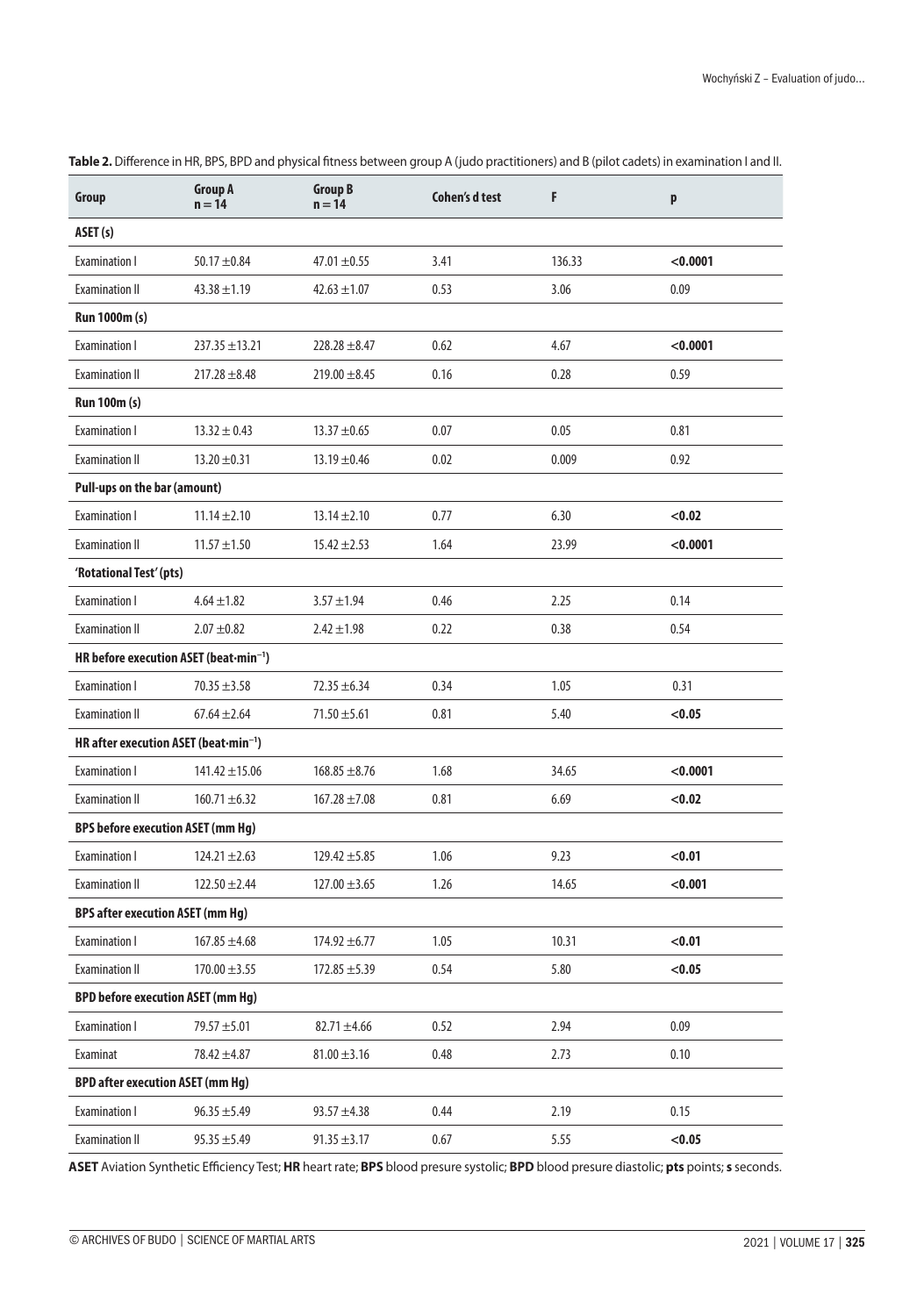| Group                                              | <b>Group A</b><br>$n = 14$               | <b>Group B</b><br>$n = 14$ | <b>Cohen's d test</b> | F      | p        |  |  |
|----------------------------------------------------|------------------------------------------|----------------------------|-----------------------|--------|----------|--|--|
| ASET (s)                                           |                                          |                            |                       |        |          |  |  |
| <b>Examination I</b>                               | $50.17 + 0.84$                           | $47.01 \pm 0.55$           | 3.41                  | 136.33 | < 0.0001 |  |  |
| <b>Examination II</b>                              | $43.38 \pm 1.19$                         | $42.63 \pm 1.07$           | 0.53                  | 3.06   | 0.09     |  |  |
| Run 1000m (s)                                      |                                          |                            |                       |        |          |  |  |
| Examination I                                      | $237.35 \pm 13.21$                       | $228.28 \pm 8.47$          | 0.62                  | 4.67   | < 0.0001 |  |  |
| <b>Examination II</b>                              | $217.28 \pm 8.48$                        | $219.00 \pm 8.45$          | 0.16                  | 0.28   | 0.59     |  |  |
| <b>Run 100m (s)</b>                                |                                          |                            |                       |        |          |  |  |
| <b>Examination I</b>                               | $13.32 \pm 0.43$                         | $13.37 + 0.65$             | 0.07                  | 0.05   | 0.81     |  |  |
| <b>Examination II</b>                              | $13.20 \pm 0.31$                         | $13.19 \pm 0.46$           | 0.02                  | 0.009  | 0.92     |  |  |
| Pull-ups on the bar (amount)                       |                                          |                            |                       |        |          |  |  |
| <b>Examination I</b>                               | $11.14 \pm 2.10$                         | $13.14 \pm 2.10$           | 0.77                  | 6.30   | < 0.02   |  |  |
| <b>Examination II</b>                              | $11.57 \pm 1.50$                         | $15.42 \pm 2.53$           | 1.64                  | 23.99  | < 0.0001 |  |  |
| 'Rotational Test' (pts)                            |                                          |                            |                       |        |          |  |  |
| <b>Examination I</b>                               | $4.64 \pm 1.82$                          | $3.57 \pm 1.94$            | 0.46                  | 2.25   | 0.14     |  |  |
| <b>Examination II</b>                              | $2.07 \pm 0.82$                          | $2.42 \pm 1.98$            | 0.22                  | 0.38   | 0.54     |  |  |
| HR before execution ASET (beat-min <sup>-1</sup> ) |                                          |                            |                       |        |          |  |  |
| <b>Examination I</b>                               | $70.35 \pm 3.58$                         | $72.35 \pm 6.34$           | 0.34                  | 1.05   | 0.31     |  |  |
| <b>Examination II</b>                              | $67.64 + 2.64$                           | $71.50 \pm 5.61$           | 0.81                  | 5.40   | < 0.05   |  |  |
| HR after execution ASET (beat-min <sup>-1</sup> )  |                                          |                            |                       |        |          |  |  |
| <b>Examination I</b>                               | $141.42 \pm 15.06$                       | $168.85 \pm 8.76$          | 1.68                  | 34.65  | < 0.0001 |  |  |
| <b>Examination II</b>                              | $160.71 \pm 6.32$                        | $167.28 \pm 7.08$          | 0.81                  | 6.69   | < 0.02   |  |  |
| <b>BPS before execution ASET (mm Hg)</b>           |                                          |                            |                       |        |          |  |  |
| <b>Examination I</b>                               | $124.21 \pm 2.63$                        | $129.42 \pm 5.85$          | 1.06                  | 9.23   | < 0.01   |  |  |
| <b>Examination II</b>                              | $122.50 \pm 2.44$                        | $127.00 \pm 3.65$          | 1.26                  | 14.65  | < 0.001  |  |  |
| <b>BPS after execution ASET (mm Hg)</b>            |                                          |                            |                       |        |          |  |  |
| <b>Examination I</b>                               | $167.85 \pm 4.68$                        | $174.92 \pm 6.77$          | 1.05                  | 10.31  | < 0.01   |  |  |
| <b>Examination II</b>                              | $170.00 \pm 3.55$                        | $172.85 \pm 5.39$          | 0.54                  | 5.80   | < 0.05   |  |  |
|                                                    | <b>BPD before execution ASET (mm Hg)</b> |                            |                       |        |          |  |  |
| <b>Examination I</b>                               | 79.57 ±5.01                              | $82.71 \pm 4.66$           | 0.52                  | 2.94   | 0.09     |  |  |
| Examinat                                           | $78.42 \pm 4.87$                         | $81.00 \pm 3.16$           | 0.48                  | 2.73   | 0.10     |  |  |
| <b>BPD after execution ASET (mm Hg)</b>            |                                          |                            |                       |        |          |  |  |
| <b>Examination I</b>                               | $96.35 \pm 5.49$                         | $93.57 \pm 4.38$           | 0.44                  | 2.19   | 0.15     |  |  |
| <b>Examination II</b>                              | $95.35 \pm 5.49$                         | $91.35 \pm 3.17$           | 0.67                  | 5.55   | < 0.05   |  |  |

**Table 2.** Difference in HR, BPS, BPD and physical fitness between group A (judo practitioners) and B (pilot cadets) in examination I and II.

**ASET** Aviation Synthetic Efficiency Test; **HR** heart rate; **BPS** blood presure systolic; **BPD** blood presure diastolic; **pts** points; **s** seconds.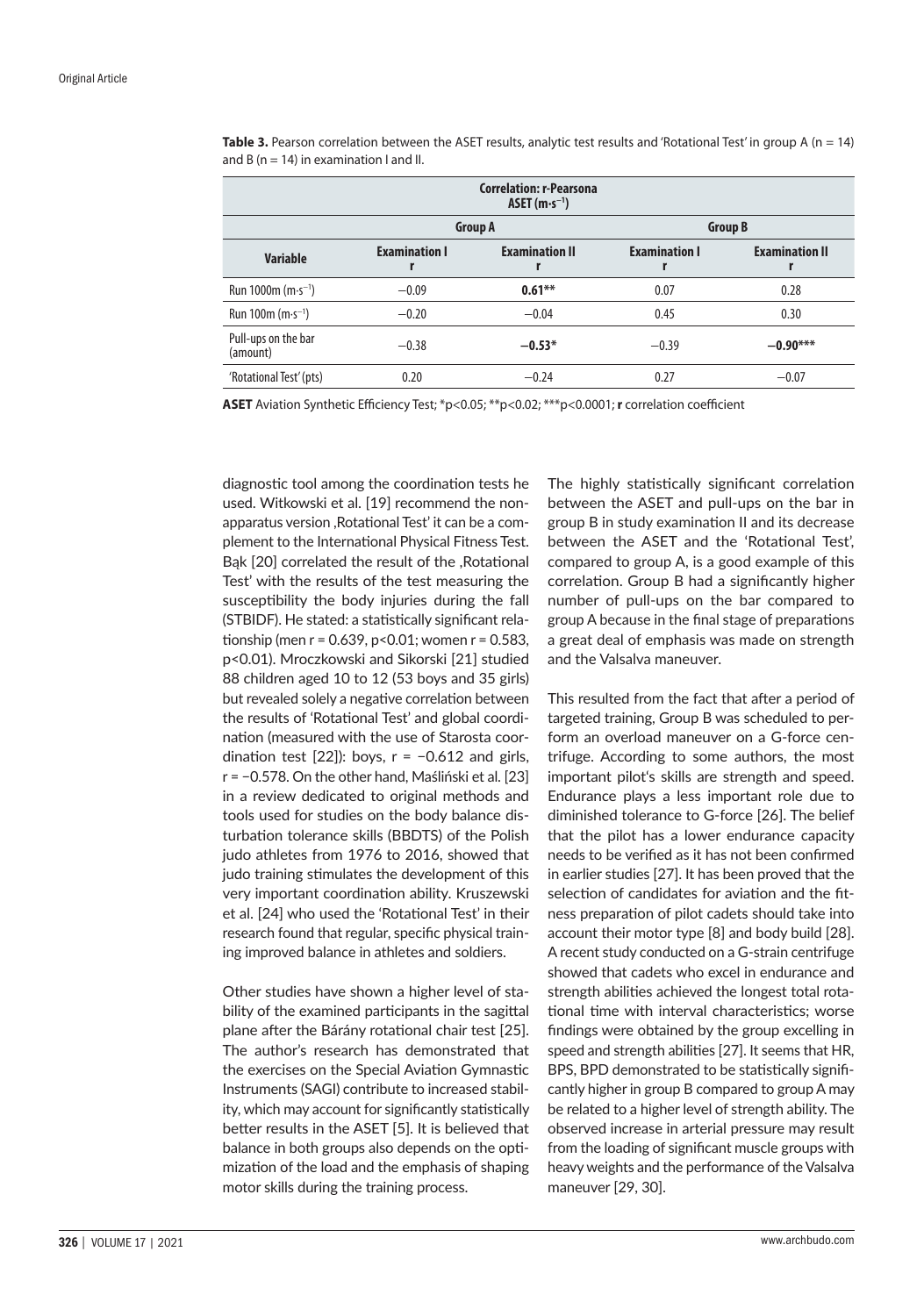| <b>Correlation: r-Pearsona</b><br>ASET $(m \cdot s^{-1})$ |                           |                            |                      |                       |  |
|-----------------------------------------------------------|---------------------------|----------------------------|----------------------|-----------------------|--|
|                                                           |                           | <b>Group A</b>             | <b>Group B</b>       |                       |  |
| <b>Variable</b>                                           | <b>Examination I</b><br>r | <b>Examination II</b><br>г | <b>Examination I</b> | <b>Examination II</b> |  |
| Run 1000m $(m \cdot s^{-1})$                              | $-0.09$                   | $0.61***$                  | 0.07                 | 0.28                  |  |
| Run 100m $(m \cdot s^{-1})$                               | $-0.20$                   | $-0.04$                    | 0.45                 | 0.30                  |  |
| Pull-ups on the bar<br>(amount)                           | $-0.38$                   | $-0.53*$                   | $-0.39$              | $-0.90***$            |  |
| 'Rotational Test' (pts)                                   | 0.20                      | $-0.24$                    | 0.27                 | $-0.07$               |  |

**Table 3.** Pearson correlation between the ASET results, analytic test results and 'Rotational Test' in group A (n = 14) and B ( $n = 14$ ) in examination I and II.

**ASET** Aviation Synthetic Efficiency Test; \*p<0.05; \*\*p<0.02; \*\*\*p<0.0001; **r** correlation coefficient

diagnostic tool among the coordination tests he used. Witkowski et al. [19] recommend the nonapparatus version ,Rotational Test' it can be a complement to the International Physical Fitness Test. Bąk [20] correlated the result of the ,Rotational Test' with the results of the test measuring the susceptibility the body injuries during the fall (STBIDF). He stated: a statistically significant relationship (men  $r = 0.639$ , p<0.01; women  $r = 0.583$ , p<0.01). Mroczkowski and Sikorski [21] studied 88 children aged 10 to 12 (53 boys and 35 girls) but revealed solely a negative correlation between the results of 'Rotational Test' and global coordination (measured with the use of Starosta coordination test  $[22]$ ): boys,  $r = -0.612$  and girls, r = −0.578. On the other hand, Maśliński et al. [23] in a review dedicated to original methods and tools used for studies on the body balance disturbation tolerance skills (BBDTS) of the Polish judo athletes from 1976 to 2016, showed that judo training stimulates the development of this very important coordination ability. Kruszewski et al. [24] who used the 'Rotational Test' in their research found that regular, specific physical training improved balance in athletes and soldiers.

Other studies have shown a higher level of stability of the examined participants in the sagittal plane after the Bárány rotational chair test [25]. The author's research has demonstrated that the exercises on the Special Aviation Gymnastic Instruments (SAGI) contribute to increased stability, which may account for significantly statistically better results in the ASET [5]. It is believed that balance in both groups also depends on the optimization of the load and the emphasis of shaping motor skills during the training process.

The highly statistically significant correlation between the ASET and pull-ups on the bar in group B in study examination II and its decrease between the ASET and the 'Rotational Test', compared to group A, is a good example of this correlation. Group B had a significantly higher number of pull-ups on the bar compared to group A because in the final stage of preparations a great deal of emphasis was made on strength and the Valsalva maneuver.

This resulted from the fact that after a period of targeted training, Group B was scheduled to perform an overload maneuver on a G-force centrifuge. According to some authors, the most important pilot's skills are strength and speed. Endurance plays a less important role due to diminished tolerance to G-force [26]. The belief that the pilot has a lower endurance capacity needs to be verified as it has not been confirmed in earlier studies [27]. It has been proved that the selection of candidates for aviation and the fitness preparation of pilot cadets should take into account their motor type [8] and body build [28]. A recent study conducted on a G-strain centrifuge showed that cadets who excel in endurance and strength abilities achieved the longest total rotational time with interval characteristics; worse findings were obtained by the group excelling in speed and strength abilities [27]. It seems that HR, BPS, BPD demonstrated to be statistically significantly higher in group B compared to group A may be related to a higher level of strength ability. The observed increase in arterial pressure may result from the loading of significant muscle groups with heavy weights and the performance of the Valsalva maneuver [29, 30].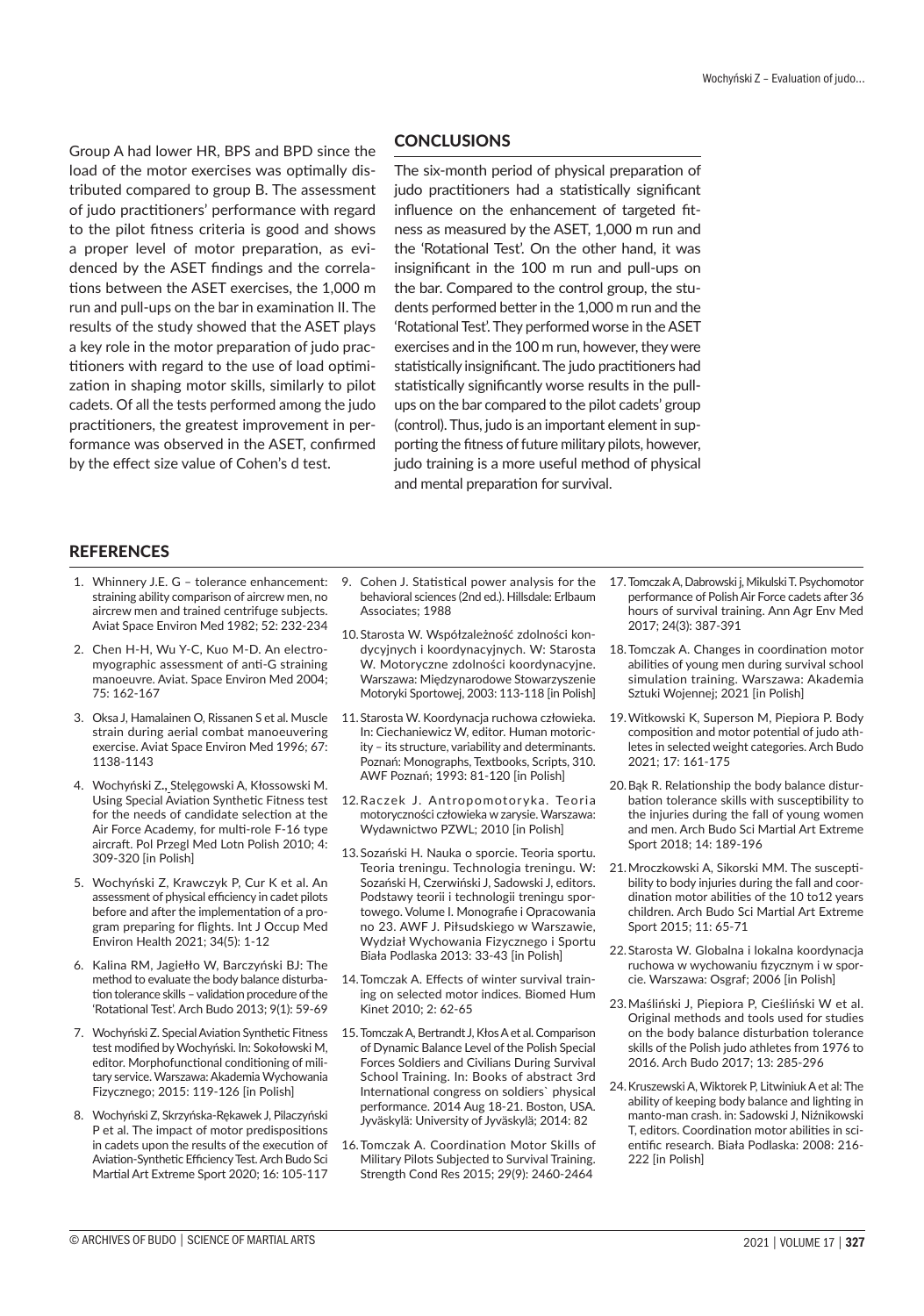Group A had lower HR, BPS and BPD since the load of the motor exercises was optimally distributed compared to group B. The assessment of judo practitioners' performance with regard to the pilot fitness criteria is good and shows a proper level of motor preparation, as evidenced by the ASET findings and the correlations between the ASET exercises, the 1,000 m run and pull-ups on the bar in examination II. The results of the study showed that the ASET plays a key role in the motor preparation of judo practitioners with regard to the use of load optimization in shaping motor skills, similarly to pilot cadets. Of all the tests performed among the judo practitioners, the greatest improvement in performance was observed in the ASET, confirmed by the effect size value of Cohen's d test.

# **CONCLUSIONS**

The six-month period of physical preparation of judo practitioners had a statistically significant influence on the enhancement of targeted fitness as measured by the ASET, 1,000 m run and the 'Rotational Test'. On the other hand, it was insignificant in the 100 m run and pull-ups on the bar. Compared to the control group, the students performed better in the 1,000 m run and the 'Rotational Test'. They performed worse in the ASET exercises and in the 100 m run, however, they were statistically insignificant. The judo practitioners had statistically significantly worse results in the pullups on the bar compared to the pilot cadets' group (control). Thus, judo is an important element in supporting the fitness of future military pilots, however, judo training is a more useful method of physical and mental preparation for survival.

## **REFERENCES**

- 1. Whinnery J.E. G tolerance enhancement: straining ability comparison of aircrew men, no aircrew men and trained centrifuge subjects. Aviat Space Environ Med 1982; 52: 232-234
- 2. Chen H-H, Wu Y-C, Kuo M-D. An electromyographic assessment of anti-G straining manoeuvre. Aviat. Space Environ Med 2004; 75: 162-167
- 3. Oksa J, Hamalainen O, Rissanen S et al. Muscle strain during aerial combat manoeuvering exercise. Aviat Space Environ Med 1996; 67: 1138-1143
- 4. Wochyński Z**.,** Stelęgowski A, Kłossowski M. Using Special Aviation Synthetic Fitness test for the needs of candidate selection at the Air Force Academy, for multi-role F-16 type aircraft. Pol Przegl Med Lotn Polish 2010; 4: 309-320 [in Polish]
- 5. Wochyński Z, Krawczyk P, Cur K et al. An assessment of physical efficiency in cadet pilots before and after the implementation of a program preparing for flights. Int J Occup Med Environ Health 2021; 34(5): 1-12
- 6. Kalina RM, Jagiełło W, Barczyński BJ: The method to evaluate the body balance disturbation tolerance skills – validation procedure of the 'Rotational Test'. Arch Budo 2013; 9(1): 59-69
- 7. Wochyński Z. Special Aviation Synthetic Fitness test modified by Wochyński. In: Sokołowski M, editor. Morphofunctional conditioning of military service. Warszawa: Akademia Wychowania Fizycznego; 2015: 119-126 [in Polish]
- 8. Wochyński Z, Skrzyńska-Rękawek J, Pilaczyński P et al. The impact of motor predispositions in cadets upon the results of the execution of Aviation-Synthetic Efficiency Test. Arch Budo Sci Martial Art Extreme Sport 2020; 16: 105-117
- 9. Cohen J. Statistical power analysis for the behavioral sciences (2nd ed.). Hillsdale: Erlbaum Associates; 1988
- 10.Starosta W. Współzależność zdolności kondycyjnych i koordynacyjnych. W: Starosta W. Motoryczne zdolności koordynacyjne. Warszawa: Międzynarodowe Stowarzyszenie Motoryki Sportowej, 2003: 113-118 [in Polish]
- 11.Starosta W. Koordynacja ruchowa człowieka. In: Ciechaniewicz W, editor. Human motoricity – its structure, variability and determinants. Poznań: Monographs, Textbooks, Scripts, 310. AWF Poznań; 1993: 81-120 [in Polish]
- 12.Raczek J. Antropomotoryka. Teoria motoryczności człowieka w zarysie. Warszawa: Wydawnictwo PZWL; 2010 [in Polish]
- 13.Sozański H. Nauka o sporcie. Teoria sportu. Teoria treningu. Technologia treningu. W: Sozański H, Czerwiński J, Sadowski J, editors. Podstawy teorii i technologii treningu sportowego. Volume I. Monografie i Opracowania no 23. AWF J. Piłsudskiego w Warszawie, Wydział Wychowania Fizycznego i Sportu Biała Podlaska 2013: 33-43 [in Polish]
- 14.Tomczak A. Effects of winter survival training on selected motor indices. Biomed Hum Kinet 2010; 2: 62-65
- 15.Tomczak A, Bertrandt J, Kłos Aet al. Comparison of Dynamic Balance Level of the Polish Special Forces Soldiers and Civilians During Survival School Training. In: Books of abstract 3rd International congress on soldiers` physical performance. 2014 Aug 18-21. Boston, USA. Jyväskylä: University of Jyväskylä; 2014: 82
- 16.Tomczak A. Coordination Motor Skills of Military Pilots Subjected to Survival Training. Strength Cond Res 2015; 29(9): 2460-2464
- 17.Tomczak A, Dabrowski j, Mikulski T. Psychomotor performance of Polish Air Force cadets after 36 hours of survival training. Ann Agr Env Med 2017; 24(3): 387-391
- 18.Tomczak A. Changes in coordination motor abilities of young men during survival school simulation training. Warszawa: Akademia Sztuki Wojennej; 2021 [in Polish]
- 19.Witkowski K, Superson M, Piepiora P. Body composition and motor potential of judo athletes in selected weight categories. Arch Budo 2021; 17: 161-175
- 20.Bąk R. Relationship the body balance disturbation tolerance skills with susceptibility to the injuries during the fall of young women and men. Arch Budo Sci Martial Art Extreme Sport 2018; 14: 189-196
- 21.Mroczkowski A, Sikorski MM. The susceptibility to body injuries during the fall and coordination motor abilities of the 10 to12 years children. Arch Budo Sci Martial Art Extreme Sport 2015; 11: 65-71
- 22.Starosta W. Globalna i lokalna koordynacja ruchowa w wychowaniu fizycznym i w sporcie. Warszawa: Osgraf; 2006 [in Polish]
- 23.Maśliński J, Piepiora P, Cieśliński W et al. Original methods and tools used for studies on the body balance disturbation tolerance skills of the Polish judo athletes from 1976 to 2016. Arch Budo 2017; 13: 285-296
- 24.Kruszewski A, Wiktorek P, Litwiniuk Aet al: The ability of keeping body balance and lighting in manto-man crash. in: Sadowski J, Niźnikowski T, editors. Coordination motor abilities in scientific research. Biała Podlaska: 2008: 216- 222 [in Polish]